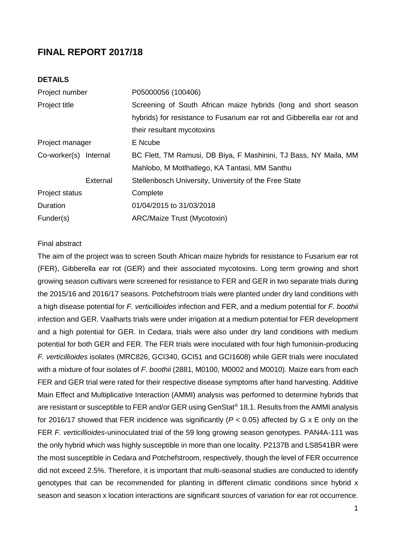# **FINAL REPORT 2017/18**

# **DETAILS**

| Project number        | P05000056 (100406)                                                     |  |  |  |
|-----------------------|------------------------------------------------------------------------|--|--|--|
|                       | Screening of South African maize hybrids (long and short season        |  |  |  |
|                       | hybrids) for resistance to Fusarium ear rot and Gibberella ear rot and |  |  |  |
|                       | their resultant mycotoxins                                             |  |  |  |
| Project manager       | E Ncube                                                                |  |  |  |
| Co-worker(s) Internal | BC Flett, TM Ramusi, DB Biya, F Mashinini, TJ Bass, NY Maila, MM       |  |  |  |
|                       | Mahlobo, M Motlhatlego, KA Tantasi, MM Santhu                          |  |  |  |
| External              | Stellenbosch University, University of the Free State                  |  |  |  |
|                       | Complete                                                               |  |  |  |
|                       | 01/04/2015 to 31/03/2018                                               |  |  |  |
|                       | ARC/Maize Trust (Mycotoxin)                                            |  |  |  |
|                       |                                                                        |  |  |  |

# Final abstract

The aim of the project was to screen South African maize hybrids for resistance to Fusarium ear rot (FER), Gibberella ear rot (GER) and their associated mycotoxins. Long term growing and short growing season cultivars were screened for resistance to FER and GER in two separate trials during the 2015/16 and 2016/17 seasons. Potchefstroom trials were planted under dry land conditions with a high disease potential for *F. verticillioides* infection and FER, and a medium potential for *F. boothii* infection and GER. Vaalharts trials were under irrigation at a medium potential for FER development and a high potential for GER. In Cedara, trials were also under dry land conditions with medium potential for both GER and FER. The FER trials were inoculated with four high fumonisin-producing *F. verticillioides* isolates (MRC826, GCI340, GCI51 and GCI1608) while GER trials were inoculated with a mixture of four isolates of *F. boothii* (2881, M0100, M0002 and M0010). Maize ears from each FER and GER trial were rated for their respective disease symptoms after hand harvesting. Additive Main Effect and Multiplicative Interaction (AMMI) analysis was performed to determine hybrids that are resistant or susceptible to FER and/or GER using GenStat® 18.1. Results from the AMMI analysis for 2016/17 showed that FER incidence was significantly (*P* < 0.05) affected by G x E only on the FER *F. verticillioides*-uninoculated trial of the 59 long growing season genotypes. PAN4A-111 was the only hybrid which was highly susceptible in more than one locality. P2137B and LS8541BR were the most susceptible in Cedara and Potchefstroom, respectively, though the level of FER occurrence did not exceed 2.5%. Therefore, it is important that multi-seasonal studies are conducted to identify genotypes that can be recommended for planting in different climatic conditions since hybrid x season and season x location interactions are significant sources of variation for ear rot occurrence.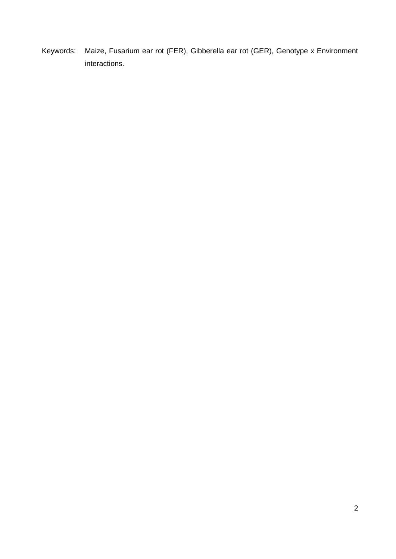Keywords: Maize, Fusarium ear rot (FER), Gibberella ear rot (GER), Genotype x Environment interactions.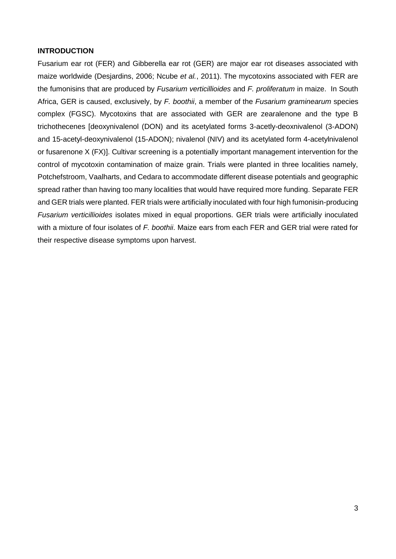## **INTRODUCTION**

Fusarium ear rot (FER) and Gibberella ear rot (GER) are major ear rot diseases associated with maize worldwide (Desjardins, 2006; Ncube *et al.*, 2011). The mycotoxins associated with FER are the fumonisins that are produced by *Fusarium verticillioides* and *F. proliferatum* in maize. In South Africa, GER is caused, exclusively, by *F. boothii*, a member of the *Fusarium graminearum* species complex (FGSC). Mycotoxins that are associated with GER are zearalenone and the type B trichothecenes [deoxynivalenol (DON) and its acetylated forms 3-acetly-deoxnivalenol (3-ADON) and 15-acetyl-deoxynivalenol (15-ADON); nivalenol (NIV) and its acetylated form 4-acetylnivalenol or fusarenone X (FX)]. Cultivar screening is a potentially important management intervention for the control of mycotoxin contamination of maize grain. Trials were planted in three localities namely, Potchefstroom, Vaalharts, and Cedara to accommodate different disease potentials and geographic spread rather than having too many localities that would have required more funding. Separate FER and GER trials were planted. FER trials were artificially inoculated with four high fumonisin-producing *Fusarium verticillioides* isolates mixed in equal proportions. GER trials were artificially inoculated with a mixture of four isolates of *F. boothii*. Maize ears from each FER and GER trial were rated for their respective disease symptoms upon harvest.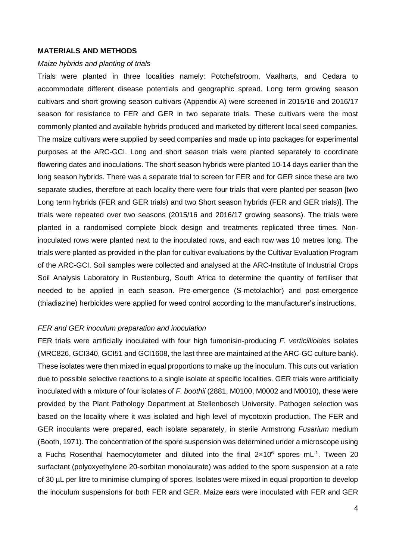#### **MATERIALS AND METHODS**

#### *Maize hybrids and planting of trials*

Trials were planted in three localities namely: Potchefstroom, Vaalharts, and Cedara to accommodate different disease potentials and geographic spread. Long term growing season cultivars and short growing season cultivars (Appendix A) were screened in 2015/16 and 2016/17 season for resistance to FER and GER in two separate trials. These cultivars were the most commonly planted and available hybrids produced and marketed by different local seed companies. The maize cultivars were supplied by seed companies and made up into packages for experimental purposes at the ARC-GCI. Long and short season trials were planted separately to coordinate flowering dates and inoculations. The short season hybrids were planted 10-14 days earlier than the long season hybrids. There was a separate trial to screen for FER and for GER since these are two separate studies, therefore at each locality there were four trials that were planted per season [two Long term hybrids (FER and GER trials) and two Short season hybrids (FER and GER trials)]. The trials were repeated over two seasons (2015/16 and 2016/17 growing seasons). The trials were planted in a randomised complete block design and treatments replicated three times. Noninoculated rows were planted next to the inoculated rows, and each row was 10 metres long. The trials were planted as provided in the plan for cultivar evaluations by the Cultivar Evaluation Program of the ARC-GCI. Soil samples were collected and analysed at the ARC-Institute of Industrial Crops Soil Analysis Laboratory in Rustenburg, South Africa to determine the quantity of fertiliser that needed to be applied in each season. Pre-emergence (S-metolachlor) and post-emergence (thiadiazine) herbicides were applied for weed control according to the manufacturer's instructions.

#### *FER and GER inoculum preparation and inoculation*

FER trials were artificially inoculated with four high fumonisin-producing *F. verticillioides* isolates (MRC826, GCI340, GCI51 and GCI1608, the last three are maintained at the ARC-GC culture bank). These isolates were then mixed in equal proportions to make up the inoculum. This cuts out variation due to possible selective reactions to a single isolate at specific localities. GER trials were artificially inoculated with a mixture of four isolates of *F. boothii* (2881, M0100, M0002 and M0010)*,* these were provided by the Plant Pathology Department at Stellenbosch University. Pathogen selection was based on the locality where it was isolated and high level of mycotoxin production. The FER and GER inoculants were prepared, each isolate separately, in sterile Armstrong *Fusarium* medium (Booth, 1971). The concentration of the spore suspension was determined under a microscope using a Fuchs Rosenthal haemocytometer and diluted into the final  $2 \times 10^6$  spores mL<sup>-1</sup>. Tween 20 surfactant (polyoxyethylene 20-sorbitan monolaurate) was added to the spore suspension at a rate of 30 µL per litre to minimise clumping of spores. Isolates were mixed in equal proportion to develop the inoculum suspensions for both FER and GER. Maize ears were inoculated with FER and GER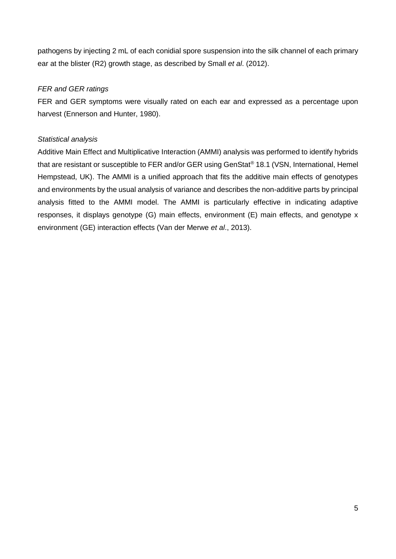pathogens by injecting 2 mL of each conidial spore suspension into the silk channel of each primary ear at the blister (R2) growth stage, as described by Small *et al*. (2012).

# *FER and GER ratings*

FER and GER symptoms were visually rated on each ear and expressed as a percentage upon harvest (Ennerson and Hunter, 1980).

# *Statistical analysis*

Additive Main Effect and Multiplicative Interaction (AMMI) analysis was performed to identify hybrids that are resistant or susceptible to FER and/or GER using GenStat<sup>®</sup> 18.1 (VSN, International, Hemel Hempstead, UK). The AMMI is a unified approach that fits the additive main effects of genotypes and environments by the usual analysis of variance and describes the non-additive parts by principal analysis fitted to the AMMI model. The AMMI is particularly effective in indicating adaptive responses, it displays genotype (G) main effects, environment (E) main effects, and genotype x environment (GE) interaction effects (Van der Merwe *et al*., 2013).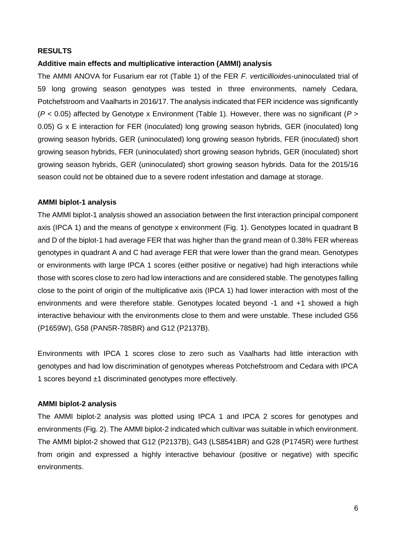## **RESULTS**

## **Additive main effects and multiplicative interaction (AMMI) analysis**

The AMMI ANOVA for Fusarium ear rot (Table 1) of the FER *F. verticillioides*-uninoculated trial of 59 long growing season genotypes was tested in three environments, namely Cedara, Potchefstroom and Vaalharts in 2016/17. The analysis indicated that FER incidence was significantly (*P* < 0.05) affected by Genotype x Environment (Table 1). However, there was no significant (*P* > 0.05) G x E interaction for FER (inoculated) long growing season hybrids, GER (inoculated) long growing season hybrids, GER (uninoculated) long growing season hybrids, FER (inoculated) short growing season hybrids, FER (uninoculated) short growing season hybrids, GER (inoculated) short growing season hybrids, GER (uninoculated) short growing season hybrids. Data for the 2015/16 season could not be obtained due to a severe rodent infestation and damage at storage.

### **AMMI biplot-1 analysis**

The AMMI biplot-1 analysis showed an association between the first interaction principal component axis (IPCA 1) and the means of genotype x environment (Fig. 1). Genotypes located in quadrant B and D of the biplot-1 had average FER that was higher than the grand mean of 0.38% FER whereas genotypes in quadrant A and C had average FER that were lower than the grand mean. Genotypes or environments with large IPCA 1 scores (either positive or negative) had high interactions while those with scores close to zero had low interactions and are considered stable. The genotypes falling close to the point of origin of the multiplicative axis (IPCA 1) had lower interaction with most of the environments and were therefore stable. Genotypes located beyond -1 and +1 showed a high interactive behaviour with the environments close to them and were unstable. These included G56 (P1659W), G58 (PAN5R-785BR) and G12 (P2137B).

Environments with IPCA 1 scores close to zero such as Vaalharts had little interaction with genotypes and had low discrimination of genotypes whereas Potchefstroom and Cedara with IPCA 1 scores beyond ±1 discriminated genotypes more effectively.

### **AMMI biplot-2 analysis**

The AMMI biplot-2 analysis was plotted using IPCA 1 and IPCA 2 scores for genotypes and environments (Fig. 2). The AMMI biplot-2 indicated which cultivar was suitable in which environment. The AMMI biplot-2 showed that G12 (P2137B), G43 (LS8541BR) and G28 (P1745R) were furthest from origin and expressed a highly interactive behaviour (positive or negative) with specific environments.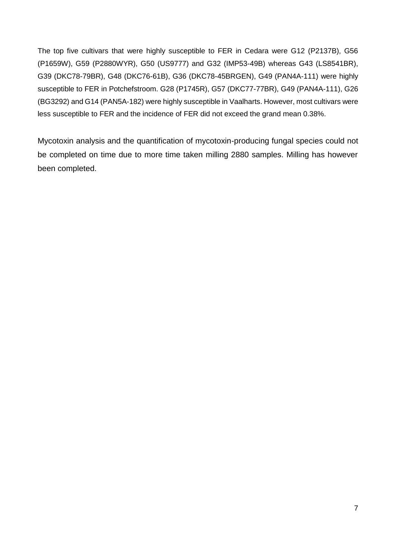The top five cultivars that were highly susceptible to FER in Cedara were G12 (P2137B), G56 (P1659W), G59 (P2880WYR), G50 (US9777) and G32 (IMP53-49B) whereas G43 (LS8541BR), G39 (DKC78-79BR), G48 (DKC76-61B), G36 (DKC78-45BRGEN), G49 (PAN4A-111) were highly susceptible to FER in Potchefstroom. G28 (P1745R), G57 (DKC77-77BR), G49 (PAN4A-111), G26 (BG3292) and G14 (PAN5A-182) were highly susceptible in Vaalharts. However, most cultivars were less susceptible to FER and the incidence of FER did not exceed the grand mean 0.38%.

Mycotoxin analysis and the quantification of mycotoxin-producing fungal species could not be completed on time due to more time taken milling 2880 samples. Milling has however been completed.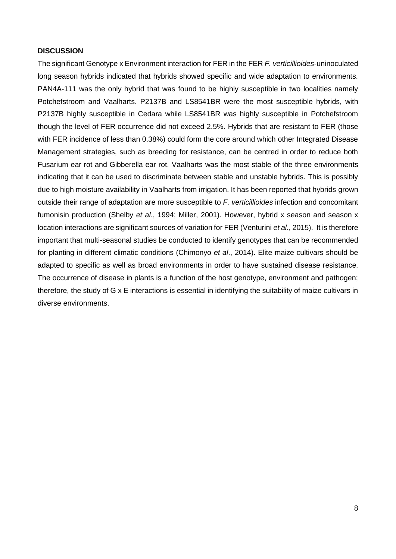## **DISCUSSION**

The significant Genotype x Environment interaction for FER in the FER *F. verticillioides*-uninoculated long season hybrids indicated that hybrids showed specific and wide adaptation to environments. PAN4A-111 was the only hybrid that was found to be highly susceptible in two localities namely Potchefstroom and Vaalharts. P2137B and LS8541BR were the most susceptible hybrids, with P2137B highly susceptible in Cedara while LS8541BR was highly susceptible in Potchefstroom though the level of FER occurrence did not exceed 2.5%. Hybrids that are resistant to FER (those with FER incidence of less than 0.38%) could form the core around which other Integrated Disease Management strategies, such as breeding for resistance, can be centred in order to reduce both Fusarium ear rot and Gibberella ear rot. Vaalharts was the most stable of the three environments indicating that it can be used to discriminate between stable and unstable hybrids. This is possibly due to high moisture availability in Vaalharts from irrigation. It has been reported that hybrids grown outside their range of adaptation are more susceptible to *F. verticillioides* infection and concomitant fumonisin production (Shelby *et al*., 1994; Miller, 2001). However, hybrid x season and season x location interactions are significant sources of variation for FER (Venturini *et al*., 2015). It is therefore important that multi-seasonal studies be conducted to identify genotypes that can be recommended for planting in different climatic conditions (Chimonyo *et al*., 2014). Elite maize cultivars should be adapted to specific as well as broad environments in order to have sustained disease resistance. The occurrence of disease in plants is a function of the host genotype, environment and pathogen; therefore, the study of G x E interactions is essential in identifying the suitability of maize cultivars in diverse environments.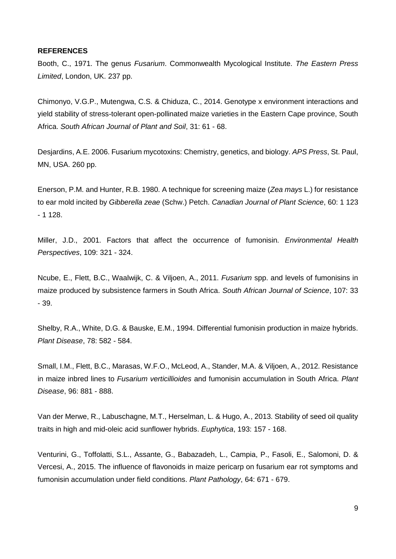#### **REFERENCES**

Booth, C., 1971. The genus *Fusarium*. Commonwealth Mycological Institute. *The Eastern Press Limited*, London, UK. 237 pp.

Chimonyo, V.G.P., Mutengwa, C.S. & Chiduza, C., 2014. Genotype x environment interactions and yield stability of stress-tolerant open-pollinated maize varieties in the Eastern Cape province, South Africa. *South African Journal of Plant and Soil*, 31: 61 - 68.

Desjardins, A.E. 2006. Fusarium mycotoxins: Chemistry, genetics, and biology. *APS Press*, St. Paul, MN, USA. 260 pp.

Enerson, P.M. and Hunter, R.B. 1980. A technique for screening maize (*Zea mays* L.) for resistance to ear mold incited by *Gibberella zeae* (Schw.) Petch. *Canadian Journal of Plant Science*, 60: 1 123 - 1 128.

Miller, J.D., 2001. Factors that affect the occurrence of fumonisin. *Environmental Health Perspectives*, 109: 321 - 324.

Ncube, E., Flett, B.C., Waalwijk, C. & Viljoen, A., 2011. *Fusarium* spp. and levels of fumonisins in maize produced by subsistence farmers in South Africa. *South African Journal of Science*, 107: 33 - 39.

Shelby, R.A., White, D.G. & Bauske, E.M., 1994. Differential fumonisin production in maize hybrids. *Plant Disease*, 78: 582 - 584.

Small, I.M., Flett, B.C., Marasas, W.F.O., McLeod, A., Stander, M.A. & Viljoen, A., 2012. Resistance in maize inbred lines to *Fusarium verticillioides* and fumonisin accumulation in South Africa. *Plant Disease*, 96: 881 - 888.

Van der Merwe, R., Labuschagne, M.T., Herselman, L. & Hugo, A., 2013. Stability of seed oil quality traits in high and mid-oleic acid sunflower hybrids. *Euphytica*, 193: 157 - 168.

Venturini, G., Toffolatti, S.L., Assante, G., Babazadeh, L., Campia, P., Fasoli, E., Salomoni, D. & Vercesi, A., 2015. The influence of flavonoids in maize pericarp on fusarium ear rot symptoms and fumonisin accumulation under field conditions. *Plant Pathology*, 64: 671 - 679.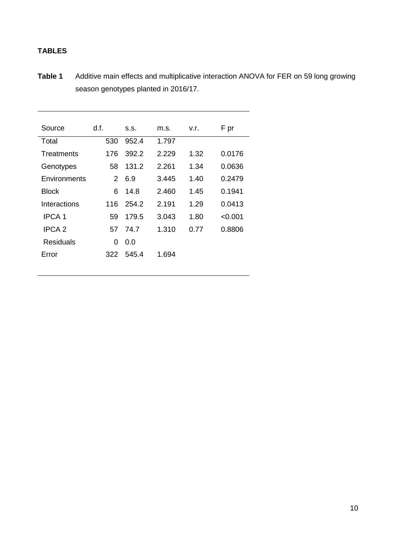# **TABLES**

**Table 1** Additive main effects and multiplicative interaction ANOVA for FER on 59 long growing season genotypes planted in 2016/17.

| Source            | d.f. | S.S.  | m.s.  | v.r. | F pr   |
|-------------------|------|-------|-------|------|--------|
|                   |      |       |       |      |        |
| Total             | 530  | 952.4 | 1.797 |      |        |
| <b>Treatments</b> | 176  | 392.2 | 2.229 | 1.32 | 0.0176 |
| Genotypes         | 58   | 131.2 | 2.261 | 1.34 | 0.0636 |
| Environments      | 2    | 6.9   | 3.445 | 1.40 | 0.2479 |
| <b>Block</b>      | 6    | 14.8  | 2.460 | 1.45 | 0.1941 |
| Interactions      | 116  | 254.2 | 2.191 | 1.29 | 0.0413 |
| <b>IPCA1</b>      | 59   | 179.5 | 3.043 | 1.80 | <0.001 |
| IPCA <sub>2</sub> | 57   | 74.7  | 1.310 | 0.77 | 0.8806 |
| Residuals         | 0    | 0.0   |       |      |        |
| Error             | 322  | 545.4 | 1.694 |      |        |
|                   |      |       |       |      |        |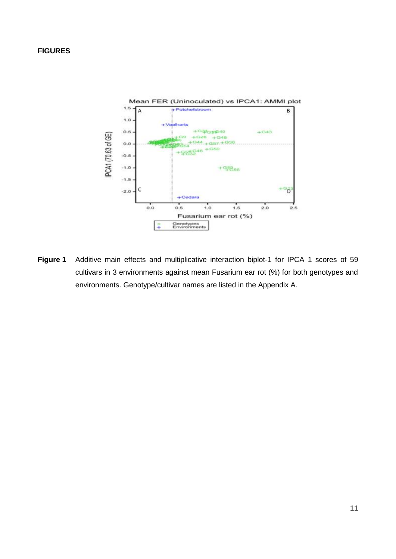### **FIGURES**



**Figure 1** Additive main effects and multiplicative interaction biplot-1 for IPCA 1 scores of 59 cultivars in 3 environments against mean Fusarium ear rot (%) for both genotypes and environments. Genotype/cultivar names are listed in the Appendix A.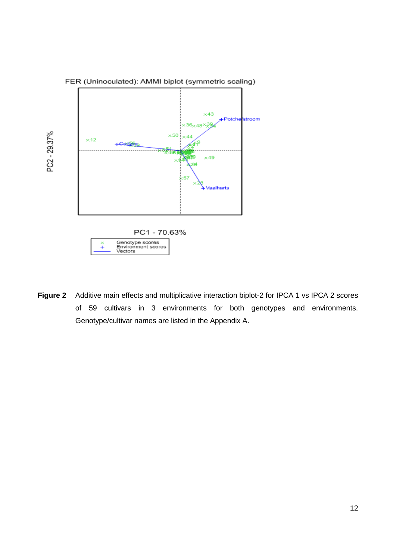

**Figure 2** Additive main effects and multiplicative interaction biplot-2 for IPCA 1 vs IPCA 2 scores of 59 cultivars in 3 environments for both genotypes and environments. Genotype/cultivar names are listed in the Appendix A.